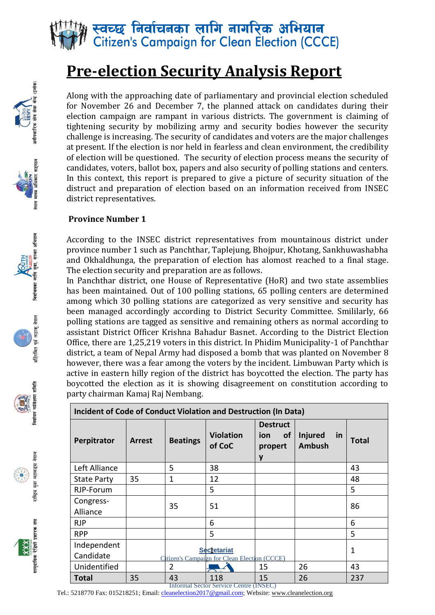

### **Pre-election Security Analysis Report**

Along with the approaching date of parliamentary and provincial election scheduled for November 26 and December 7, the planned attack on candidates during their election campaign are rampant in various districts. The government is claiming of tightening security by mobilizing army and security bodies however the security challenge is increasing. The security of candidates and voters are the major challenges at present. If the election is nor held in fearless and clean environment, the credibility of election will be questioned. The security of election process means the security of candidates, voters, ballot box, papers and also security of polling stations and centers. In this context, this report is prepared to give a picture of security situation of the distruct and preparation of election based on an information received from INSEC district representatives.

#### **Province Number 1**

According to the INSEC district representatives from mountainous district under province number 1 such as Panchthar, Taplejung, Bhojpur, Khotang, Sankhuwashabha and Okhaldhunga, the preparation of election has alomost reached to a final stage. The election security and preparation are as follows.

In Panchthar district, one House of Representative (HoR) and two state assemblies has been maintained. Out of 100 polling stations, 65 polling centers are determined among which 30 polling stations are categorized as very sensitive and security has been managed accordingly according to District Security Committee. Smililarly, 66 polling stations are tagged as sensitive and remaining others as normal according to assistant District Officer Krishna Bahadur Basnet. According to the District Election Office, there are 1,25,219 voters in this district. In Phidim Municipality-1 of Panchthar district, a team of Nepal Army had disposed a bomb that was planted on November 8 however, there was a fear among the voters by the incident. Limbuwan Party which is active in eastern hilly region of the district has boycotted the election. The party has boycotted the election as it is showing disagreement on constitution according to party chairman Kamaj Raj Nembang.

| Incident of Code of Conduct Violation and Destruction (In Data) |        |                 |                                                                    |                                                     |                                       |              |
|-----------------------------------------------------------------|--------|-----------------|--------------------------------------------------------------------|-----------------------------------------------------|---------------------------------------|--------------|
| Perpitrator                                                     | Arrest | <b>Beatings</b> | <b>Violation</b><br>of CoC                                         | <b>Destruct</b><br><b>of</b><br>ion<br>propert<br>y | Injured<br><u>in</u><br><b>Ambush</b> | Total        |
| Left Alliance                                                   |        | 5               | 38                                                                 |                                                     |                                       | 43           |
| <b>State Party</b>                                              | 35     | 1               | 12                                                                 |                                                     |                                       | 48           |
| RJP-Forum                                                       |        |                 | 5                                                                  |                                                     |                                       | 5            |
| Congress-<br>Alliance                                           |        | 35              | 51                                                                 |                                                     |                                       | 86           |
| <b>RJP</b>                                                      |        |                 | 6                                                                  |                                                     |                                       | 6            |
| <b>RPP</b>                                                      |        |                 | 5                                                                  |                                                     |                                       | 5            |
| Independent<br>Candidate                                        |        |                 | <b>Secretariat</b><br>Citizen's Campaign for Clean Election (CCCE) |                                                     |                                       | $\mathbf{1}$ |
| Unidentified                                                    |        | 2               |                                                                    | 15                                                  | 26                                    | 43           |
| Total                                                           | 35     | 43              | 118                                                                | 15                                                  | 26                                    | 237          |





निर्वाचनका लागि युवा, साभग अभियान







संघ सामदायिक रेडियो प्रशारक

Informal Sector Service Centre (INSEC)

Tel.: 5218770 Fax: 015218251; Email[: cleanelection2017@gmail.com;](mailto:cleanelection2017@gmail.com) Website: [www.cleanelection.org](http://www.cleanelection.org/)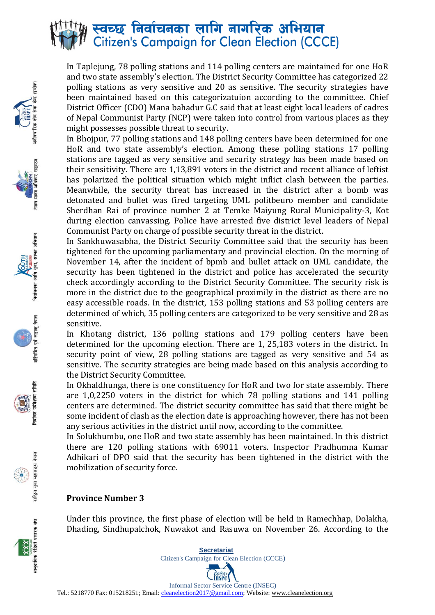## स्वच्छ निर्वाचनका लागि नागरिक अभियान<br>Citizen's Campaign for Clean Election (CCCE)

In Taplejung, 78 polling stations and 114 polling centers are maintained for one HoR and two state assembly's election. The District Security Committee has categorized 22 polling stations as very sensitive and 20 as sensitive. The security strategies have been maintained based on this categorizatuion according to the committee. Chief District Officer (CDO) Mana bahadur G.C said that at least eight local leaders of cadres of Nepal Communist Party (NCP) were taken into control from various places as they might possesses possible threat to security.

In Bhojpur, 77 polling stations and 148 polling centers have been determined for one HoR and two state assembly's election. Among these polling stations 17 polling stations are tagged as very sensitive and security strategy has been made based on their sensitivity. There are 1,13,891 voters in the district and recent alliance of leftist has polarized the political situation which might inflict clash between the parties. Meanwhile, the security threat has increased in the district after a bomb was detonated and bullet was fired targeting UML politbeuro member and candidate Sherdhan Rai of province number 2 at Temke Maiyung Rural Municipality-3, Kot during election canvassing. Police have arrested five district level leaders of Nepal Communist Party on charge of possible security threat in the district.

In Sankhuwasabha, the District Security Committee said that the security has been tightened for the upcoming parliamentary and provincial election. On the morning of November 14, after the incident of bpmb and bullet attack on UML candidate, the security has been tightened in the district and police has accelerated the security check accordingly according to the District Security Committee. The security risk is more in the district due to the geographical proximily in the district as there are no easy accessible roads. In the district, 153 polling stations and 53 polling centers are determined of which, 35 polling centers are categorized to be very sensitive and 28 as sensitive.

In Khotang district, 136 polling stations and 179 polling centers have been determined for the upcoming election. There are 1, 25,183 voters in the district. In security point of view, 28 polling stations are tagged as very sensitive and 54 as sensitive. The security strategies are being made based on this analysis according to the District Security Committee.

In Okhaldhunga, there is one constituency for HoR and two for state assembly. There are 1,0,2250 voters in the district for which 78 polling stations and 141 polling centers are determined. The district security committee has said that there might be some incident of clash as the election date is approaching however, there has not been any serious activities in the district until now, according to the committee.

In Solukhumbu, one HoR and two state assembly has been maintained. In this district there are 120 polling stations with 69011 voters. Inspector Pradhumna Kumar Adhikari of DPO said that the security has been tightened in the district with the mobilization of security force.

#### **Province Number 3**

 $\frac{1}{2}$ 

निर्वाचनका लागि यवा साफ्ना अभियान

पूर्व लडाकु नेपाल

समिति

मूज राष्ट्रिय

सामदायिक रेडियो प्रशारक संघ

Under this province, the first phase of election will be held in Ramechhap, Dolakha, Dhading, Sindhupalchok, Nuwakot and Rasuwa on November 26. According to the

\_ **Bo**ard Informal Sector Service Centre (INSEC) Tel.: 5218770 Fax: 015218251; Email[: cleanelection2017@gmail.com;](mailto:cleanelection2017@gmail.com) Website: [www.cleanelection.org](http://www.cleanelection.org/)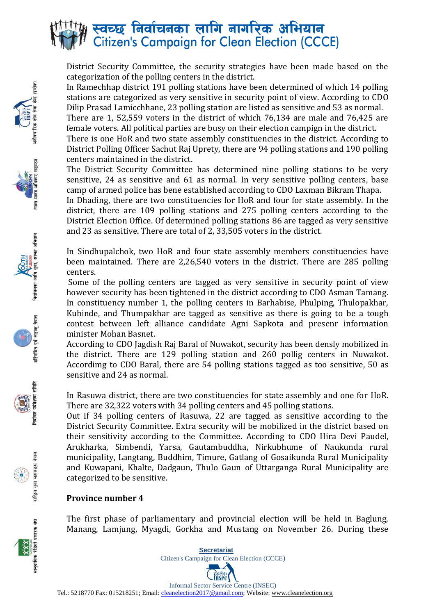

District Security Committee, the security strategies have been made based on the categorization of the polling centers in the district.

In Ramechhap district 191 polling stations have been determined of which 14 polling stations are categorized as very sensitive in security point of view. According to CDO Dilip Prasad Lamicchhane, 23 polling station are listed as sensitive and 53 as normal.

There are 1, 52,559 voters in the district of which 76,134 are male and 76,425 are female voters. All political parties are busy on their election campign in the district.

There is one HoR and two state assembly constituencies in the district. According to District Polling Officer Sachut Raj Uprety, there are 94 polling stations and 190 polling centers maintained in the district.

The District Security Committee has determined nine polling stations to be very sensitive, 24 as sensitive and 61 as normal. In very sensitive polling centers, base camp of armed police has bene established according to CDO Laxman Bikram Thapa.

In Dhading, there are two constituencies for HoR and four for state assembly. In the district, there are 109 polling stations and 275 polling centers according to the District Election Office. Of determined polling stations 86 are tagged as very sensitive and 23 as sensitive. There are total of 2, 33,505 voters in the district.

In Sindhupalchok, two HoR and four state assembly members constituencies have been maintained. There are 2,26,540 voters in the district. There are 285 polling centers.

Some of the polling centers are tagged as very sensitive in security point of view however security has been tightened in the district according to CDO Asman Tamang. In constituency number 1, the polling centers in Barhabise, Phulping, Thulopakhar, Kubinde, and Thumpakhar are tagged as sensitive as there is going to be a tough contest between left alliance candidate Agni Sapkota and presenr information minister Mohan Basnet.

According to CDO Jagdish Raj Baral of Nuwakot, security has been densly mobilized in the district. There are 129 polling station and 260 pollig centers in Nuwakot. Accordimg to CDO Baral, there are 54 polling stations tagged as too sensitive, 50 as sensitive and 24 as normal.

In Rasuwa district, there are two constituencies for state assembly and one for HoR. There are 32,322 voters with 34 polling centers and 45 polling stations.

Out if 34 polling centers of Rasuwa, 22 are tagged as sensitive according to the District Security Committee. Extra security will be mobilized in the district based on their sensitivity according to the Committee. According to CDO Hira Devi Paudel, Arukharka, Simbendi, Yarsa, Gautambuddha, Nirkubhume of Naukunda rural municipality, Langtang, Buddhim, Timure, Gatlang of Gosaikunda Rural Municipality and Kuwapani, Khalte, Dadgaun, Thulo Gaun of Uttarganga Rural Municipality are categorized to be sensitive.

#### **Province number 4**

The first phase of parliamentary and provincial election will be held in Baglung, Manang, Lamjung, Myagdi, Gorkha and Mustang on November 26. During these



 $\frac{1}{2}$ 

निर्वाचनका लागि यवा साफ्ना अभियान

पूर्व लडाकू नेपाल

समिति

मूज, राष्ट्रिय

> **Secretariat**  Citizen's Campaign for Clean Election (CCCE)



Informal Sector Service Centre (INSEC) Tel.: 5218770 Fax: 015218251; Email[: cleanelection2017@gmail.com;](mailto:cleanelection2017@gmail.com) Website: [www.cleanelection.org](http://www.cleanelection.org/)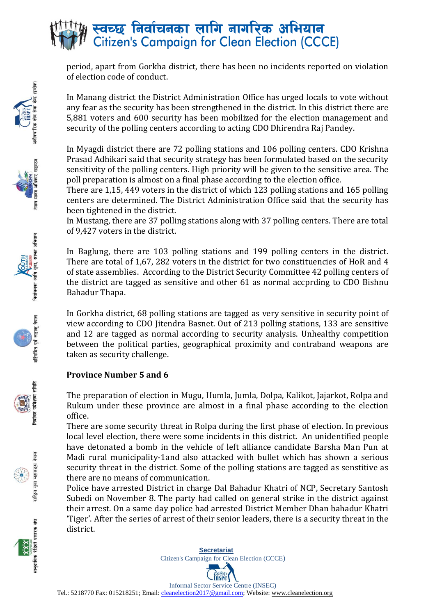# स्वच्छ निर्वाचनका लागि नागरिक अभियान<br>Citizen's Campaign for Clean Election (CCCE)

period, apart from Gorkha district, there has been no incidents reported on violation of election code of conduct.

In Manang district the District Administration Office has urged locals to vote without any fear as the security has been strengthened in the district. In this district there are 5,881 voters and 600 security has been mobilized for the election management and security of the polling centers according to acting CDO Dhirendra Raj Pandey.

In Myagdi district there are 72 polling stations and 106 polling centers. CDO Krishna Prasad Adhikari said that security strategy has been formulated based on the security sensitivity of the polling centers. High priority will be given to the sensitive area. The poll preparation is almost on a final phase according to the election office.

There are 1,15, 449 voters in the district of which 123 polling stations and 165 polling centers are determined. The District Administration Office said that the security has been tightened in the district.

In Mustang, there are 37 polling stations along with 37 polling centers. There are total of 9,427 voters in the district.

In Baglung, there are 103 polling stations and 199 polling centers in the district. There are total of 1,67, 282 voters in the district for two constituencies of HoR and 4 of state assemblies. According to the District Security Committee 42 polling centers of the district are tagged as sensitive and other 61 as normal accprding to CDO Bishnu Bahadur Thapa.

In Gorkha district, 68 polling stations are tagged as very sensitive in security point of view according to CDO Jitendra Basnet. Out of 213 polling stations, 133 are sensitive and 12 are tagged as normal according to security analysis. Unhealthy competition between the political parties, geographical proximity and contraband weapons are taken as security challenge.

#### **Province Number 5 and 6**

निर्वाचनका लागि युवा, साफा अभियान

पूर्व लडाकू नेपाल

समिति

मूज, राष्ट्रिय

संघ

सामदायिक रेडियो प्रशारक

The preparation of election in Mugu, Humla, Jumla, Dolpa, Kalikot, Jajarkot, Rolpa and Rukum under these province are almost in a final phase according to the election office.

There are some security threat in Rolpa during the first phase of election. In previous local level election, there were some incidents in this district. An unidentified people have detonated a bomb in the vehicle of left alliance candidate Barsha Man Pun at Madi rural municipality-1and also attacked with bullet which has shown a serious security threat in the district. Some of the polling stations are tagged as senstitive as there are no means of communication.

Police have arrested District in charge Dal Bahadur Khatri of NCP, Secretary Santosh Subedi on November 8. The party had called on general strike in the district against their arrest. On a same day police had arrested District Member Dhan bahadur Khatri 'Tiger'. After the series of arrest of their senior leaders, there is a security threat in the district.

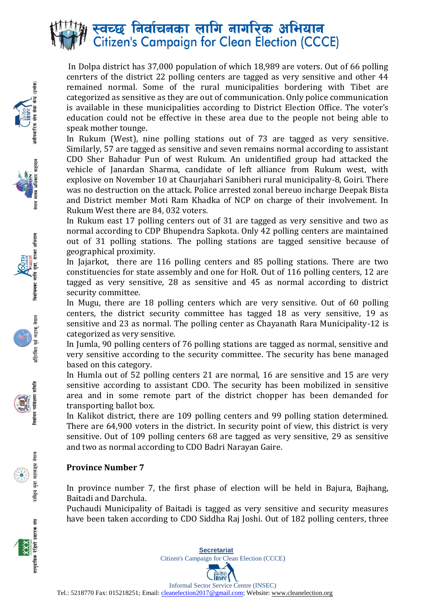

In Dolpa district has 37,000 population of which 18,989 are voters. Out of 66 polling cenrters of the district 22 polling centers are tagged as very sensitive and other 44 remained normal. Some of the rural municipalities bordering with Tibet are categorized as sensitive as they are out of communication. Only police communication is available in these municipalities according to District Election Office. The voter's education could not be effective in these area due to the people not being able to speak mother tounge.

In Rukum (West), nine polling stations out of 73 are tagged as very sensitive. Similarly, 57 are tagged as sensitive and seven remains normal according to assistant CDO Sher Bahadur Pun of west Rukum. An unidentified group had attacked the vehicle of Janardan Sharma, candidate of left alliance from Rukum west, with explosive on November 10 at Chaurjahari Sanibheri rural municipality-8, Goiri. There was no destruction on the attack. Police arrested zonal bereuo incharge Deepak Bista and District member Moti Ram Khadka of NCP on charge of their involvement. In Rukum West there are 84, 032 voters.

In Rukum east 17 polling centers out of 31 are tagged as very sensitive and two as normal according to CDP Bhupendra Sapkota. Only 42 polling centers are maintained out of 31 polling stations. The polling stations are tagged sensitive because of geographical proximity.

In Jajarkot, there are 116 polling centers and 85 polling stations. There are two constituencies for state assembly and one for HoR. Out of 116 polling centers, 12 are tagged as very sensitive, 28 as sensitive and 45 as normal according to district security committee.

In Mugu, there are 18 polling centers which are very sensitive. Out of 60 polling centers, the district security committee has tagged 18 as very sensitive, 19 as sensitive and 23 as normal. The polling center as Chayanath Rara Municipality-12 is categorized as very sensitive.

In Jumla, 90 polling centers of 76 polling stations are tagged as normal, sensitive and very sensitive according to the security committee. The security has bene managed based on this category.

In Humla out of 52 polling centers 21 are normal, 16 are sensitive and 15 are very sensitive according to assistant CDO. The security has been mobilized in sensitive area and in some remote part of the district chopper has been demanded for transporting ballot box.

In Kalikot district, there are 109 polling centers and 99 polling station determined. There are 64,900 voters in the district. In security point of view, this district is very sensitive. Out of 109 polling centers 68 are tagged as very sensitive, 29 as sensitive and two as normal according to CDO Badri Narayan Gaire.

#### **Province Number 7**

In province number 7, the first phase of election will be held in Bajura, Bajhang, Baitadi and Darchula.

Puchaudi Municipality of Baitadi is tagged as very sensitive and security measures have been taken according to CDO Siddha Raj Joshi. Out of 182 polling centers, three











मूज



 $\frac{1}{2}$